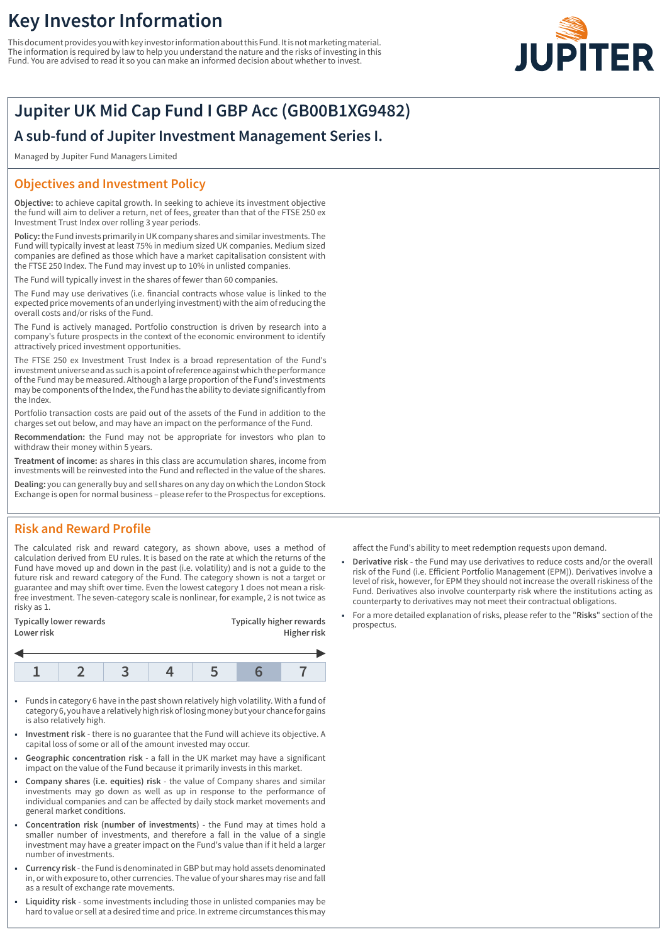# **Key Investor Information**

This document provides you with key investor information about this Fund. It is not marketing material. The information is required by law to help you understand the nature and the risks of investing in this Fund. You are advised to read it so you can make an informed decision about whether to invest.



## **Jupiter UK Mid Cap Fund I GBP Acc (GB00B1XG9482)**

**A sub-fund of Jupiter Investment Management Series I.**

Managed by Jupiter Fund Managers Limited

#### **Objectives and Investment Policy**

**Objective:** to achieve capital growth. In seeking to achieve its investment objective the fund will aim to deliver a return, net of fees, greater than that of the FTSE 250 ex Investment Trust Index over rolling 3 year periods.

**Policy:** the Fund invests primarily in UK company shares and similar investments. The Fund will typically invest at least 75% in medium sized UK companies. Medium sized companies are defined as those which have a market capitalisation consistent with the FTSE 250 Index. The Fund may invest up to 10% in unlisted companies.

The Fund will typically invest in the shares of fewer than 60 companies.

The Fund may use derivatives (i.e. financial contracts whose value is linked to the expected price movements of an underlying investment) with the aim of reducing the overall costs and/or risks of the Fund.

The Fund is actively managed. Portfolio construction is driven by research into a company's future prospects in the context of the economic environment to identify attractively priced investment opportunities.

The FTSE 250 ex Investment Trust Index is a broad representation of the Fund's investment universe and as such is a point of reference against which the performance of the Fund may be measured. Although a large proportion of the Fund's investments may be components of the Index, the Fund has the ability to deviate significantly from the Index.

Portfolio transaction costs are paid out of the assets of the Fund in addition to the charges set out below, and may have an impact on the performance of the Fund.

**Recommendation:** the Fund may not be appropriate for investors who plan to withdraw their money within 5 years.

**Treatment of income:** as shares in this class are accumulation shares, income from investments will be reinvested into the Fund and reflected in the value of the shares.

**Dealing:** you can generally buy and sell shares on any day on which the London Stock Exchange is open for normal business – please refer to the Prospectus for exceptions.

### **Risk and Reward Profile**

The calculated risk and reward category, as shown above, uses a method of calculation derived from EU rules. It is based on the rate at which the returns of the Fund have moved up and down in the past (i.e. volatility) and is not a guide to the future risk and reward category of the Fund. The category shown is not a target or guarantee and may shift over time. Even the lowest category 1 does not mean a riskfree investment. The seven-category scale is nonlinear, for example, 2 is not twice as risky as 1.

| Typically lower rewards<br>Lower risk | <b>Typically higher rewards</b><br>Higher risk |
|---------------------------------------|------------------------------------------------|
|                                       |                                                |

- 1 Funds in category 6 have in the past shown relatively high volatility. With a fund of category 6, you have a relatively high risk of losing money but your chance for gains is also relatively high.
- 1 **Investment risk** there is no guarantee that the Fund will achieve its objective. A capital loss of some or all of the amount invested may occur.
- 1 **Geographic concentration risk** a fall in the UK market may have a significant impact on the value of the Fund because it primarily invests in this market.
- 1 **Company shares (i.e. equities) risk** the value of Company shares and similar investments may go down as well as up in response to the performance of individual companies and can be affected by daily stock market movements and general market conditions.
- 1 **Concentration risk (number of investments)** the Fund may at times hold a smaller number of investments, and therefore a fall in the value of a single investment may have a greater impact on the Fund's value than if it held a larger number of investments.
- 1 **Currency risk** the Fund is denominated in GBP but may hold assets denominated in, or with exposure to, other currencies. The value of your shares may rise and fall as a result of exchange rate movements.
- 1 **Liquidity risk** some investments including those in unlisted companies may be hard to value or sell at a desired time and price. In extreme circumstances this may

affect the Fund's ability to meet redemption requests upon demand.

- 1 **Derivative risk** the Fund may use derivatives to reduce costs and/or the overall risk of the Fund (i.e. Efficient Portfolio Management (EPM)). Derivatives involve a level of risk, however, for EPM they should not increase the overall riskiness of the Fund. Derivatives also involve counterparty risk where the institutions acting as counterparty to derivatives may not meet their contractual obligations.
- 1 For a more detailed explanation of risks, please refer to the "**Risks**" section of the prospectus.